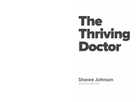# The Thriving Doctor

## **Sharee Johnson**

**Illustrated by Glenn Finlay**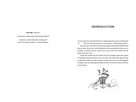### **INTRODUCTION**

**Thriving:** adjective

*Prosperous and growing; flourishing* (Oxford)

*Someone or something that is doing well and is successful, healthy, or strong* (Collins)

The experienced medical director sitting opposite me in coaching said: "You were the first person to ever ask me: – *what do you want*?" He went on to describe the profound impact this simple question had had on him. These four words had given him permission to discover, to imagine, to believe that he could meet some of his own needs once he knew what they were.

These four words had freed him from the straight jacket the culture of medicine had bound him in for 25 years and ultimately allowed him to practise medicine with renewed energy and focus. He felt happier, stronger, and was enjoying his family and his work more than he had for two decades.

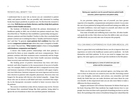#### PATIENTS WILL BENEFIT TOO

I understand that in your role as doctor you are committed to patient safety and patient health. You are possibly only interested in reading books that impact positively on patient care. On this front the research is very clear. **Well doctors are better doctors, and they help their patients achieve better health outcomes.**

The Institute of Medicine described the primary determinants of healthcare quality in 2001; one of which was patient-centred care. They described this as "Healthcare that establishes a partnership among practitioners, patients and their families". Further to this, they concluded that patient-centred care is nothing less than a "Quality and business imperative", and that "In general, **most patients feel confident** that they will receive **competent technical care** when they enter a hospital or healthcare centre". Beyond that, "**What matters most** to them is being **treated with kindness, compassion and dignity".**

A doctor who builds positive relationships with their patients is perceived by them as more empathic and more compassionate. These patients continue with their treatment more consistently and for longer duration. Not surprisingly they have better health outcomes including faster recovery rates and better immune response.

The healing power of positive interactions has been well documented, and often forgotten in the measurement of success in healthcare. For example, Rakel et al (2009 and 2011) compared recovery time and immune responses of three groups of patients with upper respiratory tract infections. Immune response was most vigorous and recovery time shortest in patients with empathic physicians. Recovery time was longest for the group with doctors who lacked empathy – longer than those who saw no doctor at all! Rakel and team concluded that empathy in the therapeutic encounter resulted in faster recovery times for flu patients.

The science of medicine is data-driven, humans may not be. Doctors are humans first; emotional beings like their patients, being asked to ignore the art of medicine to their own and their patients' detriment.

**Raising your capacity to care for yourself improves patient health outcomes, patient experience and patient safety.**

As you prioritise taking better care of yourself, you have greater capacity to be empathic, compassionate and patient centred. As you raise the care of your patients by being well yourself and raising your skills, you can build confidence, trust and respect in yourself, and others too will have more confidence, trust and respect in you.

Your state of health and wellbeing must come first. All other healthcare goals ride on this. Only when you have the skills to take care of yourself effectively can you truly take care of anyone else properly.

#### YOU CAN MAKE A DIFFERENCE IN YOUR OWN MEDICAL LIFE

There is a great deal every individual doctor can do to improve their own experience at work in the healthcare system and in medicine – for both themselves and their patients. To do so you need to engage your own agency, the same agency you used to get into medicine in the first place.

#### **Personal agency is a sense of control over your own actions and the consequences.**

When you do exercise your personal agency, you bring your influence to bear on what you can control in your own life. Exercising control over your thoughts, motivation, and actions, you remember and hold dearly the belief that you can make decisions and enact them for your own benefit. In this empowered state you are also more likely to make a difference for those around you.

Surgeon and former CEO of Keiser Parmenter Dr Robert Pearl says in his book *Uncaring (2021)* that medicine has taught doctors how to cure people, but it has not done such a good job of teaching you how to *care* for them. He is pointing to the science of medicine being more valued than the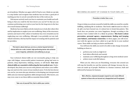art of medicine. Whether you agree with Dr Pearl or not, I think we can take it a step further and recognise that medicine has not done a good job of teaching *you how to care for yourself* in the face of the work you do.

Did anyone actively teach you how to maintain your health and wellbeing so that you could be the best doctor you can be? So that you can continue performing your work at your best for the long term in the face of so much human suffering?

Medicine has more likely actively trained you to look after others first and by implication to neglect your own wellbeing. Many of the structures, systems and much of the culture of medicine has even rewarded you for neglecting your own wellbeing. Although it was probably not any individual's intention, this has had the impact of creating risk for patients and for providers.

**This book is about what you can do as a doctor beyond technical clinical skill to be a safe, trusted, high-performing doctor who achieves career longevity, satisfaction and wellbeing as you go***.*

Your technical clinical skills are not necessarily going to help you cope with fatigue, unsuccessful patient treatments, giving bad news to patients, sleep deprivation, bullying, trauma, or self-doubt. **Your nonclinical skills are essential to delivering the best medical care.** Underdeveloped, they limit your success with patients and reduce your wellbeing, now and over the course of your medical career. To be the best doctor you can be, you must also pay attention to developing your interpersonal skills and your internal regulation skills (intrapersonal). Who knows, you may even come to see these skills as essential clinical skills!

**Take care of yourself first, that is within your control.**

#### BECOMING AN AGENT OF CHANGE IN YOUR OWN LIFE

**Prevention is better than a cure.**

I hope to help you activate yourself to build the skills you need for a joyful, fulfilling, satisfying life in medicine. This book is **not** focused on what to do *after* you have burned out, it is about how to break that pattern. This book does not promise you more happiness, though according to the doctors I have worked with it's a likely by-product. **This book is about prevention, personal agency, empowerment, finding and keeping your balance, and human connection.** In these pages, you will reconnect with the agency you have called on to get this far in your medical career. These skills can help you thrive and flourish.

You will learn the skills you need to be able to take charge of yourself, building on them to:

- perform your work at a high level
- lead others effectively and warmly
- maintain your wellbeing throughout a long-term medical career
- achieve more work-life balance.

When you do, when you are flourishing, everyone else around you will reap the benefits too and the systems will change, because the systems are made up of people. Medicine is a human construct, built and delivered by humans for humans.

**Well, effective, empowered people respond to and create different systems to those who are burned out, disappointed and ill-equipped.**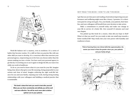

Work-life balance isn't a mystery, even in medicine. It's a series of habits that become routine. It's a skill set that you practise like with any other skill you want to develop. It's a conscious effort that exercises your personal agency, empowering you to live how *you* choose rather than the system making you into a victim. You have used your personal agency to get this far, I'm inviting you to use it again to design the life you want even while you work in healthcare.

To do so, you need to know what it is you want for your life. Imagine being clear about what gives your life meaning, being purposeful in your actions and clear of mind. Imagine achieving the right work-life balance for you and your family, enjoying your work, having strong trusting relationships with your colleagues and building a medical practice that is sustainable.

> **This book is about the tools you need to look after yourself. When you use them consistently and skilfully you will be well and more effective. You will be much more able to deliver optimal care to your patients.**

#### WHY READ THIS BOOK / HOW TO USE THIS BOOK

I get that you are time poor and reading a book about improving your performance and wellbeing might seem like a luxury. I promise, it's a shortterm pain for a long-term gain. You, your family, your patients, their families, and your colleagues will benefit from your decision to take action.

Make a commitment to yourself today and make one change in your life in service of a better life. Give yourself 45 minutes and read one chapter.

You picked up this book for a reason, what did you hope to find? What is it that you need? Are you ready to take one small step towards a better medical life? Step wisely into your own power with humility and readiness to learn.

**Think of learning these non-clinical skills like superannuation, the sooner you invest in them the greater return you, your patients and your family will get.**

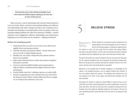**Embracing this work creates intimate knowledge of your inner world and facilitates agency, helping you do more and be more of what you love.**

When you have a warm relationship with yourself, deeply attuned to your own needs, desires, aversions and meaning making, your influence and relationships with others change in positive ways, sometimes incrementally and sometimes as transformation, both are useful. In this way, meaning making facilitates the other four elements of PERMA - positive emotions, more engagement, effective relationships, and achievement, helping you to do more than survive medicine – helping you flourish.

#### *Actions for knowing yourself*

- 1. Understand what you seek so you can focus your effort meaningfully, this is your purpose anchor.
- 2. Unearth and name your primary beliefs decide which ones serve you well. Consider letting some go.
- 3. Identify your core values. Along with your purpose anchors, these are your guides.
- 4. Make values-based decisions, reduce the amount of cognitive dissonance you hold.
- 5. Create an external scaffold of habits and trusted people to help you deliver committed actions aligned with your values and purpose.
- 6. Practise! Skills come first. Confidence grows as a result of skill.
- 7. Practise recognising your role as distinct from your self. Notice the dynamic nature of their overlap. Make sure there is enough of an overlap to feel authentic in your role.

# **RELIEVE STRESS**

## Naomi's **Story**

5

*Naomi worked as an advanced trainee obstetrician and gynaecologist. She moved hospitals every six months as part of her training program, including to regional areas.* 

*For weeks at a time, she was away from her partner and young children, focusing on her goal to fellow. I met her when she had just arrived at a regional city rotation and was studying for her exam, which was three months away.*

*During her last shift at her 'parent' hospital in the city, her supervisor had given her the collective feedback from the consultants she had been working with. Most of it was great, but someone had said she needed to work on her confidence, that she wasn't yet behaving like a consultant.*

*Moving to a new hospital with no familiar colleagues, no knowledge of the region or the hospital processes, and no support network was stressful. In her new rotation, Naomi felt anxious. The feedback had confused her and was playing on her mind. It was vague and behavioural examples had not been provided.*

*She began the rotation on nights by herself. Within a couple of hours of one shift, there were three women giving birth, two with complications, and one of those with twins. She had not met any of the consultants working at the new hospital, but on this night she definitely needed to call someone. Yet now she was overthinking what it would look like if she was seen to be asking for help so early.*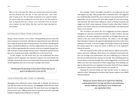*When we met a few days later, Naomi was wracked with doubt and anxiety, and was extremely tired. She said, "If I don't pass this exam, I don't know what I'm going to do." She was totally unsupported at her regional hospital. Her role as trainee was swamping the rest of her life, her self. She needed to learn to separate what was a stressor in her environment from the internal stress response she was feeling. Only then could she begin improving her own situation.*

#### DISTINGUISH STRESS FROM STRESSORS

Being a doctor involves a lot of stress. Distinguishing stressors from the stress response in your body will help you respond much more effectively than using the general idea of being stressed. For Naomi, identifying the vague consultant feedback as a stressor helped direct our work in coaching. So did recognising that the stressors at the new hospital changed rapidly as she got to know people and processes. Naming the specific factors that were causing stress made a big difference to her stress level.

In this chapter, we will review how you can understand the stress response and its opposite, the relaxation response, for your benefit. We will take a closer look at how your improving self-awareness and the skills of self-regulation and can set you up to manage stress better.

**Knowing about the physiology of stress doesn't always mean you are good at managing stress in your own life.**

#### YOUR STRESSORS ARE YOURS TO MANAGE

Managing stress effectively means being able to identify the factors in your life that make you feel stressed - the **stressors**. Which factors create stress for you is unique and personal. The same factor may not trigger the person next to you. Talking about stress in general terms isn't especially helpful in regards to knowing how to respond.

For example, I find it incredibly stressful if a cat walks past me and rubs against my legs. Many people find it ridiculous that I am triggered by a small friendly animal! The cat is a stressor in my environment for me personally. It is not a stressor for most other people. If a cat comes along, I *feel* stressed. My mind starts telling me stories of being scratched and triggers my body's stress response. It doesn't matter what other's think, it doesn't even matter what my own rational mind thinks, I am still stressed when a cat is around.

The cat itself is not stress, the cat is triggering *my* stress response, changing my internal environment because of what I believe and pay attention to. *My* stress response is caused by *my* thoughts about the cat, which in this case come from my history. For others, a cat will trigger their relaxation response, the opposite physiological reaction to the stress response. For many, a cat won't trigger any change of state at all. Naming the stressor gives me a focus for action, it allows me to be responsive instead of reactive.

How you respond to life, what you think about it, affects your performance and your wellbeing. These factors are intimately interconnected. You can leverage your performance and your wellbeing up or down by the way you think about the stressors in your life. These thinking patterns are not always conscious though; they can be triggered by your brain well before you have any awareness of what's happening. Your thinking can also be distorted if you are depleted (remember HALLTSS from Chapter 3) so there is a limit to how many stressors you can pile on.

Naming the stressors helps you take specific action to remove or attend to them. Managing the stressors that remain requires your skilful internal response.

**Naming your stressors allows you to respond more effectively, creating opportunities to leverage and influence your performance and your wellbeing, improving your sense of balance and your opportunity to thrive.**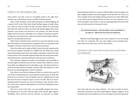#### STRESS IS NOT NECESSARILY BAD

Stress itself is not bad, in fact it's incredibly useful in the right dose. Another way to think about stress is to think of being *activated*.

When world champion surfer Mick Fanning was filmed fighting off a shark in 2015 in the J-Bay Open World Surfing League in South Africa, you could see that his body was fully activated. Before he consciously processed the shark was there, his brain had already triggered his stress response: more blood was directed to his muscles, his mind became single focused, his heart and lungs were working at maximum capacity, his digestive and reproductive systems shut down and his sight and hearing were automatically turned up.

Mick's body would have been activated at a low level already, he was after all surfing in an international competition. But as a seasoned world champion, he may not have been *aware* of much activation.

When the shark took a swipe at Mick's board, his body amped up the level of stress response activation in a millisecond. The shark was a much more threatening stressor than any surfing competition could be for him at that moment. His automatic responses kept him alive much more effectively than his slow conscious prefrontal cortex processes could have.

This activation happened quickly, automatically and powerfully to meet the high-level threat to his survival. A minute later, safely on a rescue boat, Mick was shaking from the adrenaline surge. This kind of threat to survival activates humans instantly, and then takes just minutes to a few hours for our physiologically to return to baseline.

How often is your body activating as if there is a shark in the water? If your body is maintaining your stress response continuously, it will be difficult for you to achieve a sense of balance and it is unlikely that you will have the necessary energy for agency in your own life. This is an unsustainable position and puts you and your patients at risk. Chronic activation of the stress response dysregulates you and clear thinking becomes near impossible.

Most of us, most of the time, can successfully integrate the stressful experiences of our lives with the right tools and the right support. Thankfully, Mick survived and has become an advocate for sharks,

demonstrating clearly how a person with the right tools and support can take a highly stressful event and integrate it into their life. He serves as a clear example of how the feeling of being stressed can evolve differently: it can resolve and be integrated into our lives, or it can continue on as a chronic problem. The stressor is only an ongoing problem because of the story you tell yourself, not because it exists.

**Your internal environment – what you believe, value, pay attention to, are aware of – affects how much stress you experience.**

Whether something triggers your stress response or not can change over time, it's contextual. The very same trigger can be stressful sometimes and not be other times, for the same person.

#### YOUR BODY ONLY HAS ONE PHYSIOLOGICAL RESPONSE TO STRESSORS



Your body only has one stress response – the same cascade of neurochemicals, hormones and other physiological changes happens in all situations that are stressful for you. If you are lying in your bed and dream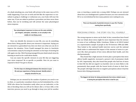of a shark attacking you, your body will activate in the same way as if it's really happening. If you are at work and feel like the supervisor or consultant is going to challenge or embarrass you, your body will react the same way. If you are asked to perform a procedure you have never done before, that can be terrifying and will activate the same physiological stress response.

> **Your physiological responses to stress are the same whether you imagine, anticipate, remember, or are actually in the middle of a terrifying event.**

Once you identify the stressors in your life, you can do something about them. Being specific about your stressors is important. Saying you are stressed in a generalised way does not show you what you can do to improve the situation. Victor Frankl managed his stress in Auschwitz concentration camp by focusing his attention on his hope of meeting his wife again one day. Mick Fanning managed his post shark attack stress by learning as much as he could about sharks.

Can you name the specific stressors in your life that are triggering your stress response? Be as specific as possible. How do you want to respond to them? You get to choose.

> **The first step is to distinguish between the stressors in your life and your experience of being stressed. Identify what is uniquely stressful for you.**

Perhaps you are stressed by the number of patients you need to see in clinic, or a particular consultant whom you feel intimidated by, or the NUM who shows her frustration easily when you are indecisive, or the idea of deciding what you will eat for dinner after a 12 hour shift, or the interview process you need to go through to keep your job for another

year, or inserting a canula into a young child. Perhaps you are stressed about how you misdiagnosed a patient because you were stressed in the ED or so overwhelmed by how many patients were waiting for you.

**There are thousands of potential stressors in your life. Practise naming them specifically.**

#### PERCEIVING STRESS – THE STORY YOU TELL YOURSELF

The wrong response to stress can be fatal. In fact, researchers have found that our *beliefs* about stress might be more important than the stressor in terms of our wellbeing. Keller, Litzelman, Wisket et al (2012) looked at a representative sample of people in the US between 1998 and 2006. They looked at the national health interview survey and the national death index to understand the impact of the amount of stress in a person's life, their perception of how stress affected their health, and who died prematurely.

They found that a high amount of stress plus a perception that stress affects health negatively, increased a person's risk of premature death by 43%. Importantly, they also found that people who had lots of stress in their life but did not regard it as harmful, were no more likely to die prematurely than people with the lowest levels of stress in their lives. The people with high stress but no negative perceptions about it had the lowest risk of dying prematurely.

**The biggest risk factor for dying prematurely from stress related causes is having the perception that stress is bad for you.**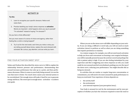#### **ACTIVITY 8**

#### **Try this:**

- 1. Learn to recognise your specific stressors. Notice and name them.
- 2. Practise labelling your body's stress response as **activation**. Words are important –what happens when you say to yourself "I'm activated" instead of saying "I'm stressed"?

#### Do you feel or think differently?

Are you more aware of a sense of choice and agency, rather than feeling like a victim or being trapped?

3. Try it out for the next week, each time you notice a story you are telling yourself about stress, replace the word *stressed* with *activated*. Be curious, pay attention, and see what you learn.

#### FIND YOUR ACTIVATION SWEET SPOT

Yerkes and Dodson first described the stress curve in 1908 to explain the relationship between pressure and performance, demonstrating that arousal increases performance but only up to a point, and then performance decreases. When it comes to your body being aroused, it is not the case that more is better. Too much stress causes your internal system to be overwhelmed. Not enough stress will make it hard for you to generate energy and focus. The sweet spot is enough stress – activation – to achieve your goals.



Where you are on the stress curve will differ depending on your activity. If you are doing a difficult or novel task, you will not need as much activation (stress) to perform as well as when you are doing something that requires persistence or stamina.

As a trainee surgeon, for example, you will not need much activation to help you focus and concentrate on learning a new surgical technique, you will be naturally present because the activity is novel and perhaps the risk to patient safety is high. If you are also feeling intimidated by your supervisor and this is triggering your stress response as well, you could easily be over aroused and feel overwhelmed, pushing you over the top of the stress curve, reducing your performance. You might describe this as being too stressed.

In activities that are routine or require long-term concentration or commitment, you will need to be more aroused for peak performance to keep you motivated. Your experience of stress depends on:

- the activity itself
- the environment
- your internal response (your perception/story).

Your body is aroused (or not) by the environment and by your perception of whether you have the resources required to meet the need or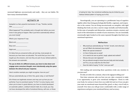neuronal highways unconsciously and easily – they are our habits. We have many emotional habits.

#### **ACTIVITY 14**

Autopilot is a fast, powerful mechanism. If I say, "Twinkle, twinkle  $\blacksquare$ little  $\blacksquare$ 

What happened? You probably said or thought *star* before you even knew it was going to happen. Was it just there automatically without you even trying?

What's your response if I say:

Black and **with a set of the set of the set of the set of the set of the set of the set of the set of the set o** 

Boys and \_\_\_\_\_\_\_\_\_\_\_\_\_

Night and \_\_\_\_\_\_\_\_\_\_\_\_\_\_\_\_

It's likely that you answered white, girl and day, most people do because you have been acculturated. The world that you live in has taught you the answers, and now they are part of your default patterns, the answers are automatic.

*For you to think of a different answer, you have to slow down and engage some conscious thought, more intentionally using the space between the stimuli and your response.*

Here's another example you might recognise: *how are you?*

Did you automatically say or think: f*ine, good, okay, or well thanks*?

All of these are legitimate answers and may sum up how you are perfectly. If you've practised saying "I'm fine" to every inquiry, even when you've been in great distress, you have no doubt developed an automatic pattern, a default network habit. As a result, you may not have developed the skills of emotional literacy, self-care, or those

of asking for help. Your emotional wellbeing may be limited by your habitual default pattern of saying you're fine.

Neurologically, you are operating in a problematic loop of cognitive rigidity rather than being psychologically flexible, cognisant, and responsive to the context. You are living unconsciously on autopilot, with rigid thinking that locks you into a narrow range mentally and behaviourally. In this state of autopilot and distraction, emotions remain a mystery and much of the information is outside of your awareness. You are essentially emotionally rigid, hooked on the same repeated thoughts that limit your emotional experience.

#### **Reflection**

- Why would you automatically say "I'm fine" at work, even when you are not? What's the dominant story at play?
- What's the operant emotion/s?
- Is it fear of being seen as weak?
- Is it a need to be seen as perfect, tough, upbeat and resilient?
- Did you miss your own signposts?
- Are you attuned enough to know how your body and mind actually are? If so, are you really fine all of the time?
- Does the habit of saying "I'm fine" serve you well?

Did reading and answering these questions evoke any emotion in you just now?

If it did, sit with it for a minute, what is the signpost telling you?

Next time someone asks you how you are, take a moment to make it an opportunity to grow your emotional intelligence. Check in with your body, be curious to learn how you really feel and see if you can give your state an emotional name beyond fine, good, or okay, even if only to yourself. Over time you will get more comfortable with a wider range of experiences and grow your emotional literacy and accuracy.